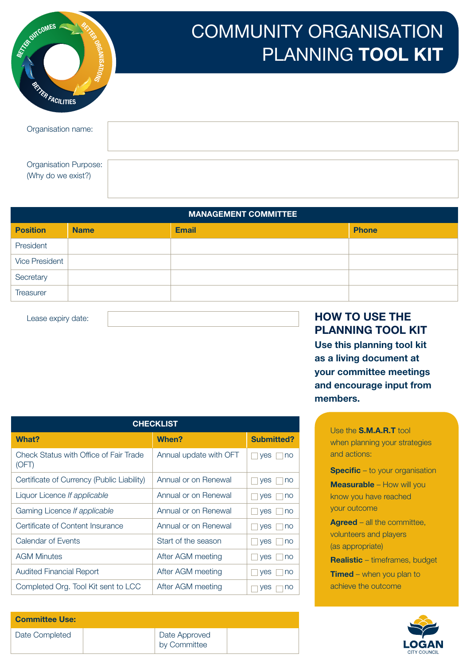| AFTER OUTCOMES<br><b>THE ORGANISATIONS</b><br><b>RETAIN FACILITIES</b> | <b>COMMUNITY ORGANISATION</b><br>PLANNING TOOL KIT |
|------------------------------------------------------------------------|----------------------------------------------------|
| Organisation name:                                                     |                                                    |
| <b>Organisation Purpose:</b><br>(Why do we exist?)                     |                                                    |

### MANAGEMENT COMMITTEE Position Name **Email Phone Position Phone** President Vice President **Secretary Treasurer**

| <b>CHECKLIST</b>                                |                        |                   |  |  |  |  |  |  |
|-------------------------------------------------|------------------------|-------------------|--|--|--|--|--|--|
| <b>What?</b>                                    | When?                  | <b>Submitted?</b> |  |  |  |  |  |  |
| Check Status with Office of Fair Trade<br>(OFT) | Annual update with OFT | yes<br>no         |  |  |  |  |  |  |
| Certificate of Currency (Public Liability)      | Annual or on Renewal   | yes<br>no         |  |  |  |  |  |  |
| Liquor Licence If applicable                    | Annual or on Renewal   | yes<br>no         |  |  |  |  |  |  |
| Gaming Licence If applicable                    | Annual or on Renewal   | yes<br>no         |  |  |  |  |  |  |
| Certificate of Content Insurance                | Annual or on Renewal   | yes<br>no         |  |  |  |  |  |  |
| Calendar of Events                              | Start of the season    | yes<br>no         |  |  |  |  |  |  |
| <b>AGM Minutes</b>                              | After AGM meeting      | <b>ves</b><br>no  |  |  |  |  |  |  |
| <b>Audited Financial Report</b>                 | After AGM meeting      | yes<br>no         |  |  |  |  |  |  |
| Completed Org. Tool Kit sent to LCC             | After AGM meeting      | yes<br>no         |  |  |  |  |  |  |

Committee Use: Date Completed | Date Approved

by Committee

### Lease expiry date:  $\sqrt{1-\frac{1}{2}}$  HOW TO USE THE PLANNING TOOL KIT

Use this planning tool kit as a living document at your committee meetings and encourage input from members.

> Use the S.M.A.R.T tool when planning your strategies and actions:

**Specific** – to your organisation

Measurable – How will you know you have reached your outcome

Agreed – all the committee, volunteers and players (as appropriate)

Realistic – timeframes, budget **Timed** – when you plan to achieve the outcome

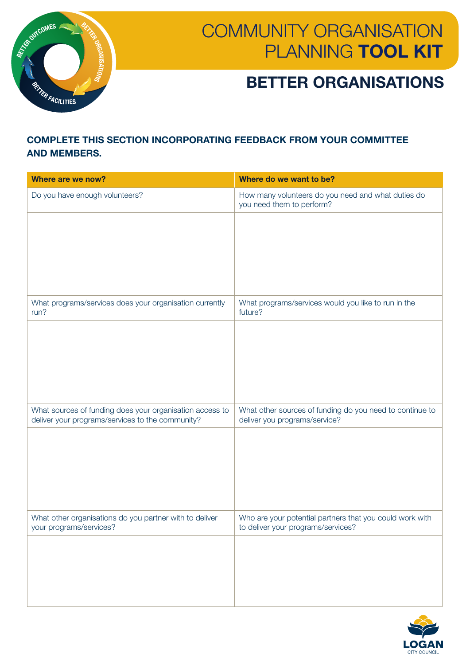

## BETTER ORGANISATIONS

#### COMPLETE THIS SECTION INCORPORATING FEEDBACK FROM YOUR COMMITTEE AND MEMBERS.

| Where are we now?                                                                                            | Where do we want to be?                                                                        |
|--------------------------------------------------------------------------------------------------------------|------------------------------------------------------------------------------------------------|
| Do you have enough volunteers?                                                                               | How many volunteers do you need and what duties do<br>you need them to perform?                |
|                                                                                                              |                                                                                                |
|                                                                                                              |                                                                                                |
|                                                                                                              |                                                                                                |
|                                                                                                              |                                                                                                |
| What programs/services does your organisation currently<br>run?                                              | What programs/services would you like to run in the<br>future?                                 |
|                                                                                                              |                                                                                                |
|                                                                                                              |                                                                                                |
|                                                                                                              |                                                                                                |
|                                                                                                              |                                                                                                |
| What sources of funding does your organisation access to<br>deliver your programs/services to the community? | What other sources of funding do you need to continue to<br>deliver you programs/service?      |
|                                                                                                              |                                                                                                |
|                                                                                                              |                                                                                                |
|                                                                                                              |                                                                                                |
|                                                                                                              |                                                                                                |
| What other organisations do you partner with to deliver<br>your programs/services?                           | Who are your potential partners that you could work with<br>to deliver your programs/services? |
|                                                                                                              |                                                                                                |
|                                                                                                              |                                                                                                |
|                                                                                                              |                                                                                                |
|                                                                                                              |                                                                                                |

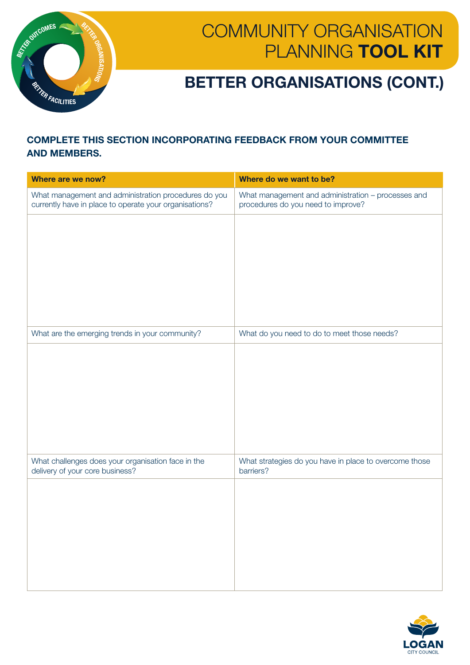

## BETTER ORGANISATIONS (CONT.)

#### COMPLETE THIS SECTION INCORPORATING FEEDBACK FROM YOUR COMMITTEE AND MEMBERS.

| Where are we now?                                                                                              | Where do we want to be?                                                                  |
|----------------------------------------------------------------------------------------------------------------|------------------------------------------------------------------------------------------|
| What management and administration procedures do you<br>currently have in place to operate your organisations? | What management and administration - processes and<br>procedures do you need to improve? |
|                                                                                                                |                                                                                          |
|                                                                                                                |                                                                                          |
|                                                                                                                |                                                                                          |
|                                                                                                                |                                                                                          |
|                                                                                                                |                                                                                          |
| What are the emerging trends in your community?                                                                | What do you need to do to meet those needs?                                              |
|                                                                                                                |                                                                                          |
|                                                                                                                |                                                                                          |
|                                                                                                                |                                                                                          |
|                                                                                                                |                                                                                          |
|                                                                                                                |                                                                                          |
| What challenges does your organisation face in the<br>delivery of your core business?                          | What strategies do you have in place to overcome those<br>barriers?                      |
|                                                                                                                |                                                                                          |
|                                                                                                                |                                                                                          |
|                                                                                                                |                                                                                          |
|                                                                                                                |                                                                                          |
|                                                                                                                |                                                                                          |

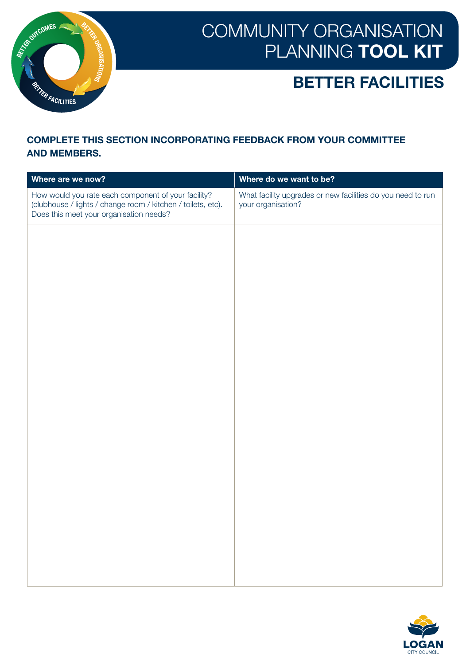

### BETTER FACILITIES

#### COMPLETE THIS SECTION INCORPORATING FEEDBACK FROM YOUR COMMITTEE AND MEMBERS.

| Where are we now?                                                                                                                                              | Where do we want to be?                                                           |
|----------------------------------------------------------------------------------------------------------------------------------------------------------------|-----------------------------------------------------------------------------------|
| How would you rate each component of your facility?<br>(clubhouse / lights / change room / kitchen / toilets, etc).<br>Does this meet your organisation needs? | What facility upgrades or new facilities do you need to run<br>your organisation? |
|                                                                                                                                                                |                                                                                   |
|                                                                                                                                                                |                                                                                   |
|                                                                                                                                                                |                                                                                   |
|                                                                                                                                                                |                                                                                   |
|                                                                                                                                                                |                                                                                   |
|                                                                                                                                                                |                                                                                   |
|                                                                                                                                                                |                                                                                   |
|                                                                                                                                                                |                                                                                   |
|                                                                                                                                                                |                                                                                   |
|                                                                                                                                                                |                                                                                   |
|                                                                                                                                                                |                                                                                   |
|                                                                                                                                                                |                                                                                   |

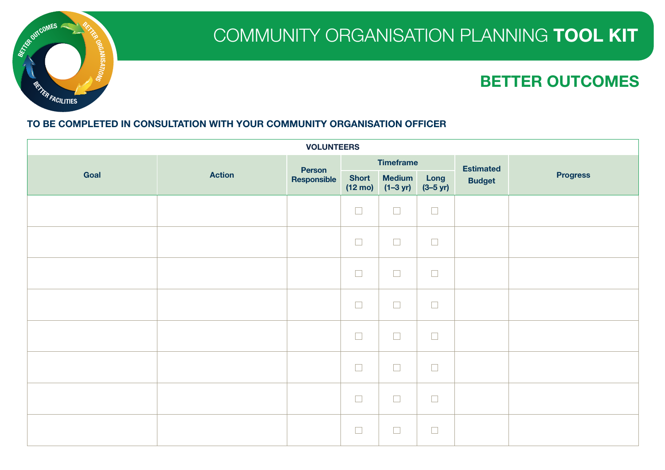

| <b>VOLUNTEERS</b> |               |               |                                   |                             |                              |                  |                 |
|-------------------|---------------|---------------|-----------------------------------|-----------------------------|------------------------------|------------------|-----------------|
|                   |               | <b>Person</b> |                                   | <b>Timeframe</b>            |                              | <b>Estimated</b> |                 |
| Goal              | <b>Action</b> | Responsible   | <b>Short</b><br>$(12 \text{ mo})$ | <b>Medium</b><br>$(1-3 yr)$ | Long<br>$(3 - 5 \text{ yr})$ | <b>Budget</b>    | <b>Progress</b> |
|                   |               |               | $\Box$                            | $\Box$                      | $\Box$                       |                  |                 |
|                   |               |               | $\Box$                            | $\Box$                      | $\Box$                       |                  |                 |
|                   |               |               | $\Box$                            | $\Box$                      | $\Box$                       |                  |                 |
|                   |               |               | $\Box$                            | $\Box$                      | $\Box$                       |                  |                 |
|                   |               |               | $\Box$                            | $\Box$                      | $\Box$                       |                  |                 |
|                   |               |               | $\Box$                            | $\Box$                      | $\Box$                       |                  |                 |
|                   |               |               | $\Box$                            | $\Box$                      | $\Box$                       |                  |                 |
|                   |               |               | $\Box$                            | $\Box$                      | $\overline{\phantom{a}}$     |                  |                 |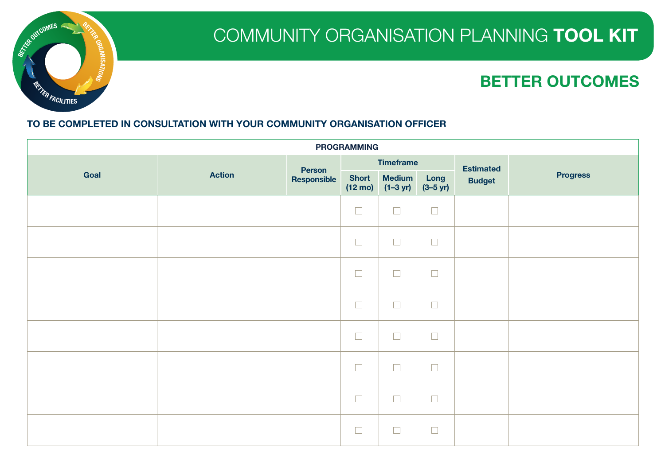

| <b>PROGRAMMING</b> |               |                       |                   |                                    |                              |                  |                 |
|--------------------|---------------|-----------------------|-------------------|------------------------------------|------------------------------|------------------|-----------------|
|                    |               |                       |                   | <b>Timeframe</b>                   |                              | <b>Estimated</b> |                 |
| Goal               | <b>Action</b> | Person<br>Responsible | $(12 \text{ mo})$ | Short Medium<br>$(1-3 \text{ yr})$ | Long<br>$(3 - 5 \text{ yr})$ | <b>Budget</b>    | <b>Progress</b> |
|                    |               |                       | $\Box$            | $\Box$                             | $\Box$                       |                  |                 |
|                    |               |                       | $\Box$            | $\Box$                             | $\Box$                       |                  |                 |
|                    |               |                       | $\Box$            | $\Box$                             | $\Box$                       |                  |                 |
|                    |               |                       | $\Box$            | $\Box$                             | $\Box$                       |                  |                 |
|                    |               |                       | $\Box$            | $\Box$                             | $\Box$                       |                  |                 |
|                    |               |                       | $\Box$            | $\Box$                             | $\Box$                       |                  |                 |
|                    |               |                       | $\Box$            | $\Box$                             | $\Box$                       |                  |                 |
|                    |               |                       | $\Box$            | $\Box$                             | $\overline{\phantom{a}}$     |                  |                 |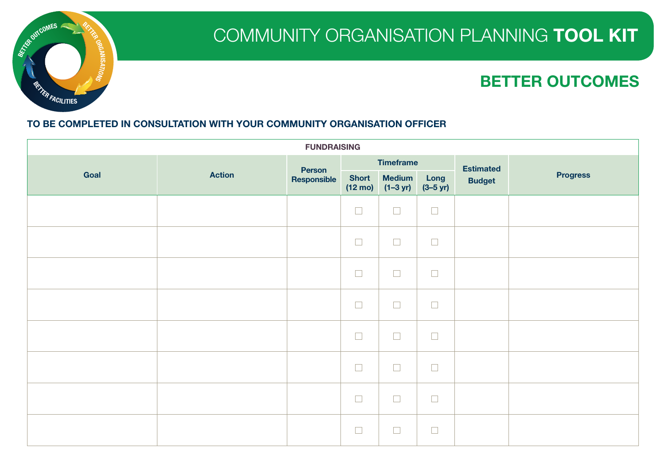

| <b>FUNDRAISING</b> |               |               |                                   |                                     |                              |                  |                 |
|--------------------|---------------|---------------|-----------------------------------|-------------------------------------|------------------------------|------------------|-----------------|
|                    |               | <b>Person</b> |                                   | <b>Timeframe</b>                    |                              | <b>Estimated</b> |                 |
| Goal               | <b>Action</b> | Responsible   | <b>Short</b><br>$(12 \text{ mo})$ | <b>Medium</b><br>$(1-3 \text{ yr})$ | Long<br>$(3 - 5 \text{ yr})$ | <b>Budget</b>    | <b>Progress</b> |
|                    |               |               | $\Box$                            | $\Box$                              | $\Box$                       |                  |                 |
|                    |               |               | $\Box$                            | $\Box$                              | $\Box$                       |                  |                 |
|                    |               |               | $\Box$                            | $\Box$                              | $\Box$                       |                  |                 |
|                    |               |               | $\Box$                            | $\Box$                              | $\Box$                       |                  |                 |
|                    |               |               | $\Box$                            | $\Box$                              | $\Box$                       |                  |                 |
|                    |               |               | $\Box$                            | $\Box$                              | $\Box$                       |                  |                 |
|                    |               |               | $\Box$                            | $\Box$                              | $\Box$                       |                  |                 |
|                    |               |               | $\Box$                            | $\Box$                              | $\overline{\phantom{a}}$     |                  |                 |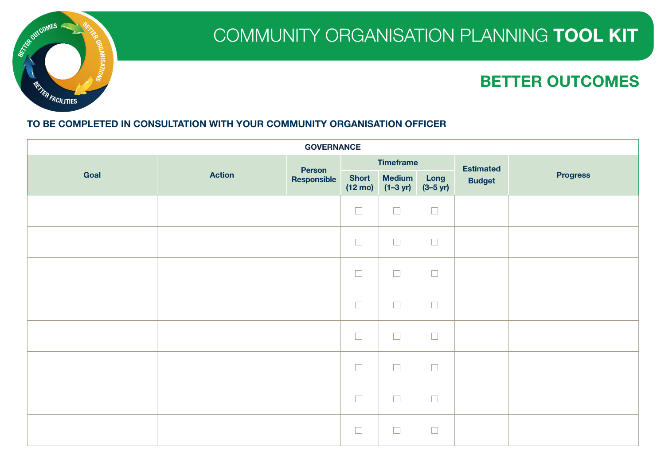

| <b>GOVERNANCE</b> |               |                       |                          |                                    |                              |               |                 |
|-------------------|---------------|-----------------------|--------------------------|------------------------------------|------------------------------|---------------|-----------------|
|                   |               | <b>Timeframe</b>      |                          |                                    | <b>Estimated</b>             |               |                 |
| Goal              | <b>Action</b> | Person<br>Responsible | $(12 \text{ mo})$        | Short Medium<br>$(1-3 \text{ yr})$ | Long<br>$(3 - 5 \text{ yr})$ | <b>Budget</b> | <b>Progress</b> |
|                   |               |                       | $\Box$                   | $\Box$                             | $\Box$                       |               |                 |
|                   |               |                       | $\Box$                   | $\Box$                             | $\Box$                       |               |                 |
|                   |               |                       | $\Box$                   | $\Box$                             | $\Box$                       |               |                 |
|                   |               |                       | $\Box$                   | $\Box$                             | $\Box$                       |               |                 |
|                   |               |                       | $\Box$                   | $\Box$                             | $\Box$                       |               |                 |
|                   |               |                       | $\Box$                   | $\Box$                             | $\Box$                       |               |                 |
|                   |               |                       | $\Box$                   | $\Box$                             | $\Box$                       |               |                 |
|                   |               |                       | $\overline{\phantom{a}}$ | $\Box$                             | $\Box$                       |               |                 |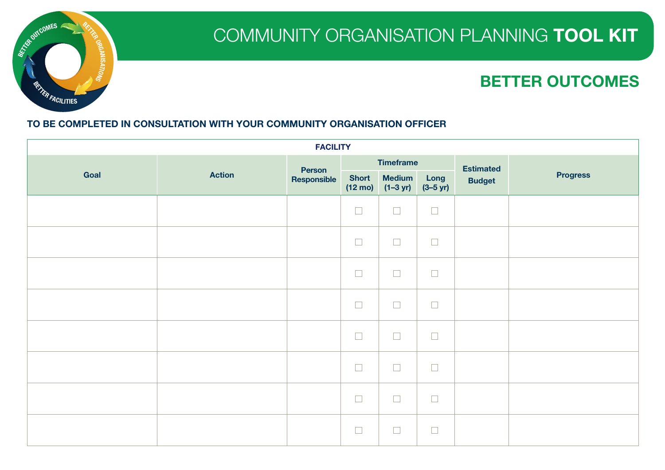

|      | <b>FACILITY</b> |             |                   |                                    |                              |                  |                 |  |
|------|-----------------|-------------|-------------------|------------------------------------|------------------------------|------------------|-----------------|--|
|      |                 | Person      |                   | <b>Timeframe</b>                   |                              | <b>Estimated</b> |                 |  |
| Goal | <b>Action</b>   | Responsible | $(12 \text{ mo})$ | Short Medium<br>$(1-3 \text{ yr})$ | Long<br>$(3 - 5 \text{ yr})$ | <b>Budget</b>    | <b>Progress</b> |  |
|      |                 |             | $\Box$            | $\Box$                             | $\Box$                       |                  |                 |  |
|      |                 |             | $\Box$            | $\Box$                             | $\Box$                       |                  |                 |  |
|      |                 |             | $\Box$            | $\Box$                             | $\Box$                       |                  |                 |  |
|      |                 |             | $\Box$            | $\Box$                             | $\Box$                       |                  |                 |  |
|      |                 |             | $\Box$            | $\Box$                             | $\Box$                       |                  |                 |  |
|      |                 |             | $\Box$            | $\Box$                             | $\Box$                       |                  |                 |  |
|      |                 |             | $\Box$            | $\Box$                             | $\Box$                       |                  |                 |  |
|      |                 |             | $\Box$            | $\Box$                             | $\Box$                       |                  |                 |  |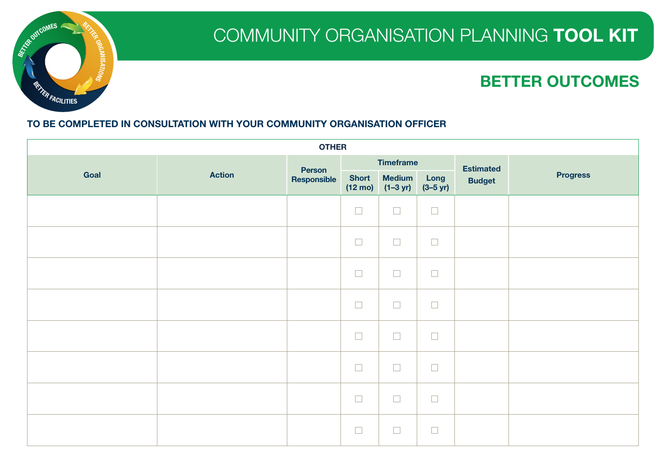

| <b>OTHER</b> |               |             |                   |                                    |                              |               |                 |
|--------------|---------------|-------------|-------------------|------------------------------------|------------------------------|---------------|-----------------|
|              |               | Person      | <b>Timeframe</b>  |                                    | <b>Estimated</b>             |               |                 |
| Goal         | <b>Action</b> | Responsible | $(12 \text{ mo})$ | Short Medium<br>$(1-3 \text{ yr})$ | Long<br>$(3 - 5 \text{ yr})$ | <b>Budget</b> | <b>Progress</b> |
|              |               |             | $\Box$            | $\Box$                             | $\Box$                       |               |                 |
|              |               |             | $\Box$            | $\Box$                             | $\Box$                       |               |                 |
|              |               |             | $\hfill \square$  | $\Box$                             | $\Box$                       |               |                 |
|              |               |             | $\Box$            | $\Box$                             | $\Box$                       |               |                 |
|              |               |             | $\Box$            | $\Box$                             | $\Box$                       |               |                 |
|              |               |             | $\Box$            | $\Box$                             | $\Box$                       |               |                 |
|              |               |             | $\Box$            | $\Box$                             | $\Box$                       |               |                 |
|              |               |             | $\Box$            | $\Box$                             | $\Box$                       |               |                 |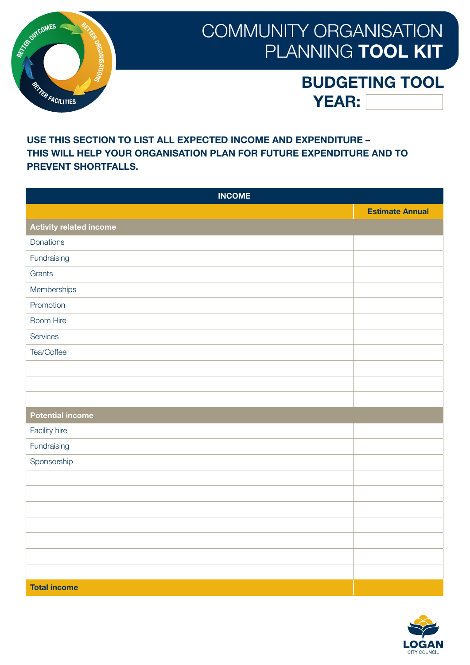

### BUDGETING TOOL YEAR:

#### USE THIS SECTION TO LIST ALL EXPECTED INCOME AND EXPENDITURE – THIS WILL HELP YOUR ORGANISATION PLAN FOR FUTURE EXPENDITURE AND TO PREVENT SHORTFALLS.

| <b>INCOME</b>                  |                        |
|--------------------------------|------------------------|
|                                | <b>Estimate Annual</b> |
| <b>Activity related income</b> |                        |
| Donations                      |                        |
| Fundraising                    |                        |
| Grants                         |                        |
| Memberships                    |                        |
| Promotion                      |                        |
| Room Hire                      |                        |
| Services                       |                        |
| Tea/Coffee                     |                        |
|                                |                        |
|                                |                        |
|                                |                        |
| <b>Potential income</b>        |                        |
| Facility hire                  |                        |
| Fundraising                    |                        |
| Sponsorship                    |                        |
|                                |                        |
|                                |                        |
|                                |                        |
|                                |                        |
|                                |                        |
|                                |                        |
|                                |                        |
| <b>Total income</b>            |                        |